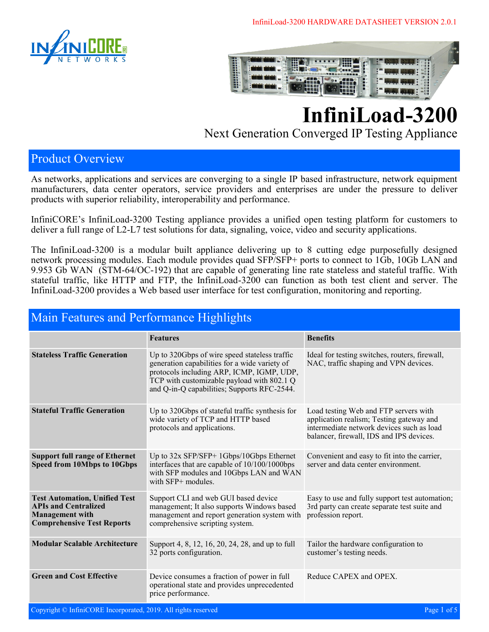



# **InfiniLoad-3200**

Next Generation Converged IP Testing Appliance

#### Product Overview

As networks, applications and services are converging to a single IP based infrastructure, network equipment manufacturers, data center operators, service providers and enterprises are under the pressure to deliver products with superior reliability, interoperability and performance.

InfiniCORE's InfiniLoad-3200 Testing appliance provides a unified open testing platform for customers to deliver a full range of L2-L7 test solutions for data, signaling, voice, video and security applications.

The InfiniLoad-3200 is a modular built appliance delivering up to 8 cutting edge purposefully designed network processing modules. Each module provides quad SFP/SFP+ ports to connect to 1Gb, 10Gb LAN and 9.953 Gb WAN (STM-64/OC-192) that are capable of generating line rate stateless and stateful traffic. With stateful traffic, like HTTP and FTP, the InfiniLoad-3200 can function as both test client and server. The InfiniLoad-3200 provides a Web based user interface for test configuration, monitoring and reporting.

#### Main Features and Performance Highlights

|                                                                                                                                    | <b>Features</b>                                                                                                                                                                                                                          | <b>Benefits</b>                                                                                                                                                            |
|------------------------------------------------------------------------------------------------------------------------------------|------------------------------------------------------------------------------------------------------------------------------------------------------------------------------------------------------------------------------------------|----------------------------------------------------------------------------------------------------------------------------------------------------------------------------|
| <b>Stateless Traffic Generation</b>                                                                                                | Up to 320Gbps of wire speed stateless traffic<br>generation capabilities for a wide variety of<br>protocols including ARP, ICMP, IGMP, UDP,<br>TCP with customizable payload with 802.1 Q<br>and Q-in-Q capabilities; Supports RFC-2544. | Ideal for testing switches, routers, firewall,<br>NAC, traffic shaping and VPN devices.                                                                                    |
| <b>Stateful Traffic Generation</b>                                                                                                 | Up to 320Gbps of stateful traffic synthesis for<br>wide variety of TCP and HTTP based<br>protocols and applications.                                                                                                                     | Load testing Web and FTP servers with<br>application realism; Testing gateway and<br>intermediate network devices such as load<br>balancer, firewall, IDS and IPS devices. |
| <b>Support full range of Ethernet</b><br>Speed from 10Mbps to 10Gbps                                                               | Up to 32x SFP/SFP+ 1Gbps/10Gbps Ethernet<br>interfaces that are capable of 10/100/1000bps<br>with SFP modules and 10Gbps LAN and WAN<br>with $SFP+$ modules.                                                                             | Convenient and easy to fit into the carrier,<br>server and data center environment.                                                                                        |
| <b>Test Automation, Unified Test</b><br><b>APIs and Centralized</b><br><b>Management</b> with<br><b>Comprehensive Test Reports</b> | Support CLI and web GUI based device<br>management; It also supports Windows based<br>management and report generation system with<br>comprehensive scripting system.                                                                    | Easy to use and fully support test automation;<br>3rd party can create separate test suite and<br>profession report.                                                       |
| <b>Modular Scalable Architecture</b>                                                                                               | Support 4, 8, 12, 16, 20, 24, 28, and up to full<br>32 ports configuration.                                                                                                                                                              | Tailor the hardware configuration to<br>customer's testing needs.                                                                                                          |
| <b>Green and Cost Effective</b>                                                                                                    | Device consumes a fraction of power in full<br>operational state and provides unprecedented<br>price performance.                                                                                                                        | Reduce CAPEX and OPEX.                                                                                                                                                     |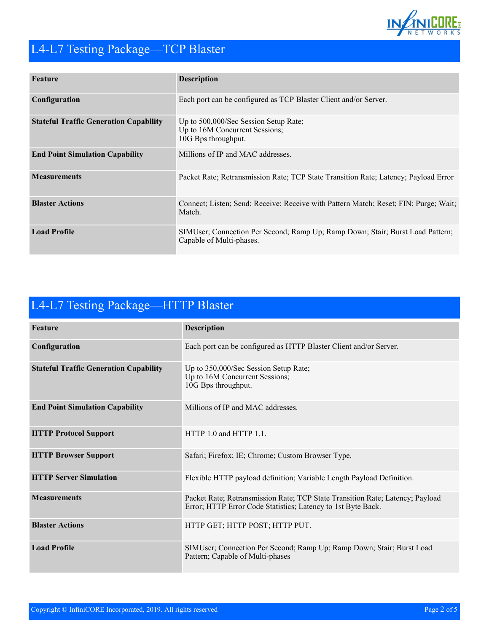

## L4-L7 Testing Package—TCP Blaster

| <b>Feature</b>                                | <b>Description</b>                                                                                         |
|-----------------------------------------------|------------------------------------------------------------------------------------------------------------|
| Configuration                                 | Each port can be configured as TCP Blaster Client and/or Server.                                           |
| <b>Stateful Traffic Generation Capability</b> | Up to 500,000/Sec Session Setup Rate;<br>Up to 16M Concurrent Sessions;<br>10G Bps throughput.             |
| <b>End Point Simulation Capability</b>        | Millions of IP and MAC addresses.                                                                          |
| <b>Measurements</b>                           | Packet Rate; Retransmission Rate; TCP State Transition Rate; Latency; Payload Error                        |
| <b>Blaster Actions</b>                        | Connect; Listen; Send; Receive; Receive with Pattern Match; Reset; FIN; Purge; Wait;<br>Match.             |
| <b>Load Profile</b>                           | SIMUser; Connection Per Second; Ramp Up; Ramp Down; Stair; Burst Load Pattern;<br>Capable of Multi-phases. |

### L4-L7 Testing Package—HTTP Blaster

| <b>Feature</b>                                | <b>Description</b>                                                                                                                            |
|-----------------------------------------------|-----------------------------------------------------------------------------------------------------------------------------------------------|
| Configuration                                 | Each port can be configured as HTTP Blaster Client and/or Server.                                                                             |
| <b>Stateful Traffic Generation Capability</b> | Up to 350,000/Sec Session Setup Rate;<br>Up to 16M Concurrent Sessions;<br>10G Bps throughput.                                                |
| <b>End Point Simulation Capability</b>        | Millions of IP and MAC addresses.                                                                                                             |
| <b>HTTP Protocol Support</b>                  | HTTP 1.0 and HTTP 1.1.                                                                                                                        |
| <b>HTTP Browser Support</b>                   | Safari; Firefox; IE; Chrome; Custom Browser Type.                                                                                             |
| <b>HTTP Server Simulation</b>                 | Flexible HTTP payload definition; Variable Length Payload Definition.                                                                         |
| <b>Measurements</b>                           | Packet Rate; Retransmission Rate; TCP State Transition Rate; Latency; Payload<br>Error; HTTP Error Code Statistics; Latency to 1st Byte Back. |
| <b>Blaster Actions</b>                        | HTTP GET; HTTP POST; HTTP PUT.                                                                                                                |
| <b>Load Profile</b>                           | SIMUser; Connection Per Second; Ramp Up; Ramp Down; Stair; Burst Load<br>Pattern; Capable of Multi-phases                                     |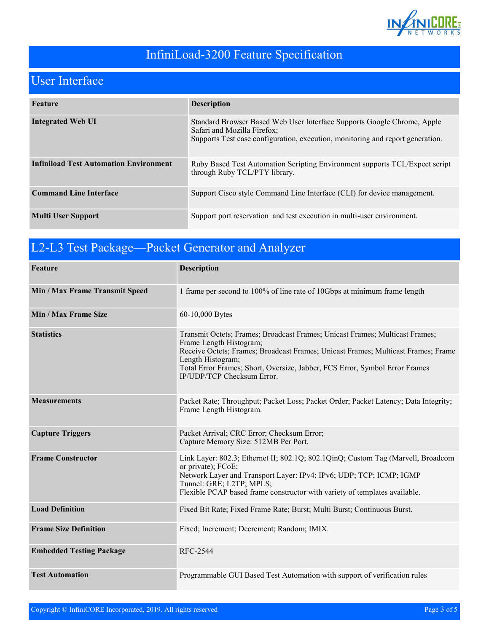

## InfiniLoad-3200 Feature Specification

### User Interface

| Feature                                       | <b>Description</b>                                                                                                                                                                       |
|-----------------------------------------------|------------------------------------------------------------------------------------------------------------------------------------------------------------------------------------------|
| <b>Integrated Web UI</b>                      | Standard Browser Based Web User Interface Supports Google Chrome, Apple<br>Safari and Mozilla Firefox;<br>Supports Test case configuration, execution, monitoring and report generation. |
| <b>Infiniload Test Automation Environment</b> | Ruby Based Test Automation Scripting Environment supports TCL/Expect script<br>through Ruby TCL/PTY library.                                                                             |
| <b>Command Line Interface</b>                 | Support Cisco style Command Line Interface (CLI) for device management.                                                                                                                  |
| <b>Multi User Support</b>                     | Support port reservation and test execution in multi-user environment.                                                                                                                   |

|  |  | L2-L3 Test Package—Packet Generator and Analyzer |  |
|--|--|--------------------------------------------------|--|
|--|--|--------------------------------------------------|--|

| Feature                         | <b>Description</b>                                                                                                                                                                                                                                                                                                             |
|---------------------------------|--------------------------------------------------------------------------------------------------------------------------------------------------------------------------------------------------------------------------------------------------------------------------------------------------------------------------------|
| Min / Max Frame Transmit Speed  | 1 frame per second to 100% of line rate of 10Gbps at minimum frame length                                                                                                                                                                                                                                                      |
| Min / Max Frame Size            | 60-10,000 Bytes                                                                                                                                                                                                                                                                                                                |
| <b>Statistics</b>               | Transmit Octets; Frames; Broadcast Frames; Unicast Frames; Multicast Frames;<br>Frame Length Histogram;<br>Receive Octets; Frames; Broadcast Frames; Unicast Frames; Multicast Frames; Frame<br>Length Histogram;<br>Total Error Frames; Short, Oversize, Jabber, FCS Error, Symbol Error Frames<br>IP/UDP/TCP Checksum Error. |
| <b>Measurements</b>             | Packet Rate; Throughput; Packet Loss; Packet Order; Packet Latency; Data Integrity;<br>Frame Length Histogram.                                                                                                                                                                                                                 |
| <b>Capture Triggers</b>         | Packet Arrival; CRC Error; Checksum Error;<br>Capture Memory Size: 512MB Per Port.                                                                                                                                                                                                                                             |
| <b>Frame Constructor</b>        | Link Layer: 802.3; Ethernet II; 802.1Q; 802.1QinQ; Custom Tag (Marvell, Broadcom<br>or private); FCoE;<br>Network Layer and Transport Layer: IPv4; IPv6; UDP; TCP; ICMP; IGMP<br>Tunnel: GRE; L2TP; MPLS;<br>Flexible PCAP based frame constructor with variety of templates available.                                        |
| <b>Load Definition</b>          | Fixed Bit Rate; Fixed Frame Rate; Burst; Multi Burst; Continuous Burst.                                                                                                                                                                                                                                                        |
| <b>Frame Size Definition</b>    | Fixed; Increment; Decrement; Random; IMIX.                                                                                                                                                                                                                                                                                     |
| <b>Embedded Testing Package</b> | RFC-2544                                                                                                                                                                                                                                                                                                                       |
| <b>Test Automation</b>          | Programmable GUI Based Test Automation with support of verification rules                                                                                                                                                                                                                                                      |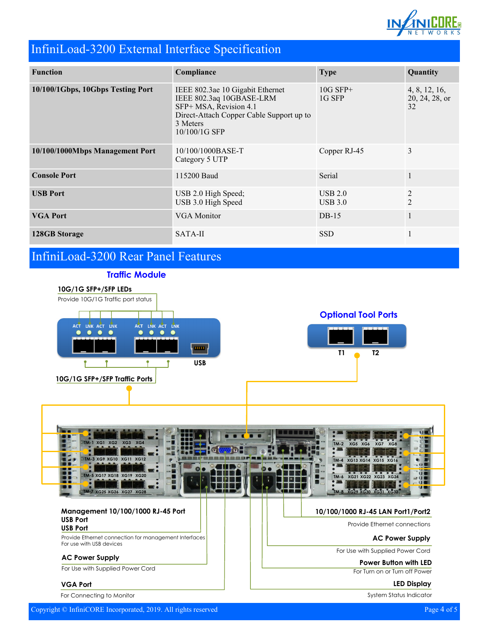

#### InfiniLoad-3200 External Interface Specification

| <b>Function</b>                   | Compliance                                                                                                                                                        | <b>Type</b>          | Quantity                              |
|-----------------------------------|-------------------------------------------------------------------------------------------------------------------------------------------------------------------|----------------------|---------------------------------------|
| 10/100/1Gbps, 10Gbps Testing Port | IEEE 802.3ae 10 Gigabit Ethernet<br>IEEE 802.3aq 10GBASE-LRM<br>SFP+ MSA, Revision 4.1<br>Direct-Attach Copper Cable Support up to<br>3 Meters<br>$10/100/1G$ SFP | $10G$ SFP+<br>1G SFP | 4, 8, 12, 16,<br>20, 24, 28, or<br>32 |
| 10/100/1000Mbps Management Port   | 10/100/1000BASE-T<br>Category 5 UTP                                                                                                                               | Copper RJ-45         | 3                                     |
| <b>Console Port</b>               | 115200 Baud                                                                                                                                                       | Serial               | 1                                     |
| <b>USB Port</b>                   | USB 2.0 High Speed;<br>USB 3.0 High Speed                                                                                                                         | USB 2.0<br>UBB 3.0   | $\overline{2}$<br>$\mathfrak{D}$      |
| <b>VGA Port</b>                   | VGA Monitor                                                                                                                                                       | $DB-15$              |                                       |
| 128GB Storage                     | SATA-II                                                                                                                                                           | <b>SSD</b>           |                                       |

#### InfiniLoad-3200 Rear Panel Features